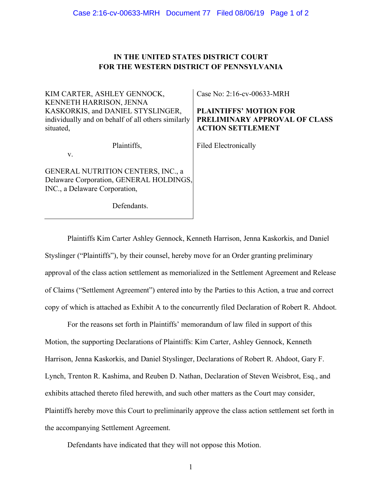# **IN THE UNITED STATES DISTRICT COURT FOR THE WESTERN DISTRICT OF PENNSYLVANIA**

| Case No: 2:16-cv-00633-MRH                         |
|----------------------------------------------------|
|                                                    |
| <b>PLAINTIFFS' MOTION FOR</b>                      |
| PRELIMINARY APPROVAL OF CLASS                      |
| <b>ACTION SETTLEMENT</b>                           |
|                                                    |
| <b>Filed Electronically</b>                        |
|                                                    |
|                                                    |
| Delaware Corporation, GENERAL HOLDINGS,            |
|                                                    |
|                                                    |
|                                                    |
| individually and on behalf of all others similarly |

Plaintiffs Kim Carter Ashley Gennock, Kenneth Harrison, Jenna Kaskorkis, and Daniel Styslinger ("Plaintiffs"), by their counsel, hereby move for an Order granting preliminary approval of the class action settlement as memorialized in the Settlement Agreement and Release of Claims ("Settlement Agreement") entered into by the Parties to this Action, a true and correct copy of which is attached as Exhibit A to the concurrently filed Declaration of Robert R. Ahdoot.

For the reasons set forth in Plaintiffs' memorandum of law filed in support of this Motion, the supporting Declarations of Plaintiffs: Kim Carter, Ashley Gennock, Kenneth Harrison, Jenna Kaskorkis, and Daniel Styslinger, Declarations of Robert R. Ahdoot, Gary F. Lynch, Trenton R. Kashima, and Reuben D. Nathan, Declaration of Steven Weisbrot, Esq., and exhibits attached thereto filed herewith, and such other matters as the Court may consider, Plaintiffs hereby move this Court to preliminarily approve the class action settlement set forth in the accompanying Settlement Agreement.

Defendants have indicated that they will not oppose this Motion.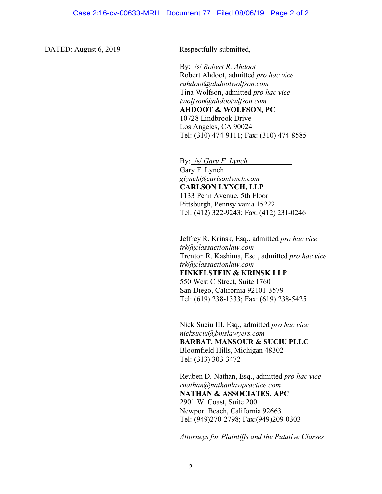DATED: August 6, 2019 Respectfully submitted,

By: /s/ *Robert R. Ahdoot* Robert Ahdoot, admitted *pro hac vice rahdoot@ahdootwolfson.com* Tina Wolfson, admitted *pro hac vice twolfson@ahdootwlfson.com* **AHDOOT & WOLFSON, PC** 10728 Lindbrook Drive Los Angeles, CA 90024 Tel: (310) 474-9111; Fax: (310) 474-8585

By: /s/ *Gary F. Lynch* Gary F. Lynch *glynch@carlsonlynch.com*  **CARLSON LYNCH, LLP** 1133 Penn Avenue, 5th Floor Pittsburgh, Pennsylvania 15222 Tel: (412) 322-9243; Fax: (412) 231-0246

Jeffrey R. Krinsk, Esq., admitted *pro hac vice jrk@classactionlaw.com* Trenton R. Kashima, Esq., admitted *pro hac vice trk@classactionlaw.com*  **FINKELSTEIN & KRINSK LLP** 550 West C Street, Suite 1760 San Diego, California 92101-3579 Tel: (619) 238-1333; Fax: (619) 238-5425

Nick Suciu III, Esq., admitted *pro hac vice nicksuciu@bmslawyers.com* **BARBAT, MANSOUR & SUCIU PLLC** Bloomfield Hills, Michigan 48302 Tel: (313) 303-3472

Reuben D. Nathan, Esq., admitted *pro hac vice rnathan@nathanlawpractice.com* **NATHAN & ASSOCIATES, APC** 2901 W. Coast, Suite 200 Newport Beach, California 92663 Tel: (949)270-2798; Fax:(949)209-0303

*Attorneys for Plaintiffs and the Putative Classes*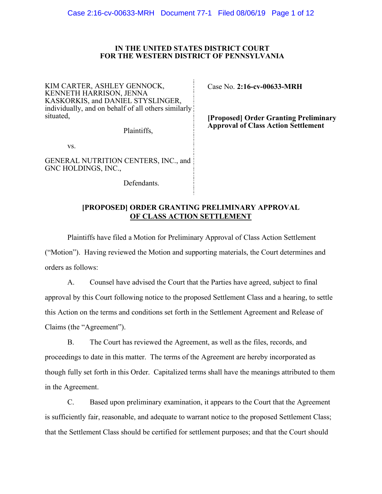### **IN THE UNITED STATES DISTRICT COURT FOR THE WESTERN DISTRICT OF PENNSYLVANIA**

KIM CARTER, ASHLEY GENNOCK, KENNETH HARRISON, JENNA KASKORKIS, and DANIEL STYSLINGER, individually, and on behalf of all others similarly situated,

Plaintiffs,

vs.

GENERAL NUTRITION CENTERS, INC., and GNC HOLDINGS, INC.,

Defendants.

Case No. **2:16-cv-00633-MRH**

**[Proposed] Order Granting Preliminary Approval of Class Action Settlement**

# **[PROPOSED] ORDER GRANTING PRELIMINARY APPROVAL OF CLASS ACTION SETTLEMENT**

Plaintiffs have filed a Motion for Preliminary Approval of Class Action Settlement ("Motion"). Having reviewed the Motion and supporting materials, the Court determines and orders as follows:

A. Counsel have advised the Court that the Parties have agreed, subject to final approval by this Court following notice to the proposed Settlement Class and a hearing, to settle this Action on the terms and conditions set forth in the Settlement Agreement and Release of Claims (the "Agreement").

B. The Court has reviewed the Agreement, as well as the files, records, and proceedings to date in this matter. The terms of the Agreement are hereby incorporated as though fully set forth in this Order. Capitalized terms shall have the meanings attributed to them in the Agreement.

C. Based upon preliminary examination, it appears to the Court that the Agreement is sufficiently fair, reasonable, and adequate to warrant notice to the proposed Settlement Class; that the Settlement Class should be certified for settlement purposes; and that the Court should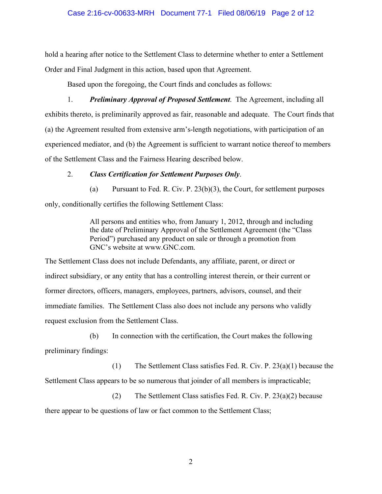## Case 2:16-cv-00633-MRH Document 77-1 Filed 08/06/19 Page 2 of 12

hold a hearing after notice to the Settlement Class to determine whether to enter a Settlement Order and Final Judgment in this action, based upon that Agreement.

Based upon the foregoing, the Court finds and concludes as follows:

1. *Preliminary Approval of Proposed Settlement*. The Agreement, including all exhibits thereto, is preliminarily approved as fair, reasonable and adequate. The Court finds that (a) the Agreement resulted from extensive arm's-length negotiations, with participation of an experienced mediator, and (b) the Agreement is sufficient to warrant notice thereof to members of the Settlement Class and the Fairness Hearing described below.

## 2. *Class Certification for Settlement Purposes Only*.

(a) Pursuant to Fed. R. Civ. P.  $23(b)(3)$ , the Court, for settlement purposes only, conditionally certifies the following Settlement Class:

> All persons and entities who, from January 1, 2012, through and including the date of Preliminary Approval of the Settlement Agreement (the "Class Period") purchased any product on sale or through a promotion from GNC's website at www.GNC.com.

The Settlement Class does not include Defendants, any affiliate, parent, or direct or indirect subsidiary, or any entity that has a controlling interest therein, or their current or former directors, officers, managers, employees, partners, advisors, counsel, and their immediate families. The Settlement Class also does not include any persons who validly request exclusion from the Settlement Class.

(b) In connection with the certification, the Court makes the following

preliminary findings:

(1) The Settlement Class satisfies Fed. R. Civ. P. 23(a)(1) because the Settlement Class appears to be so numerous that joinder of all members is impracticable;

(2) The Settlement Class satisfies Fed. R. Civ. P. 23(a)(2) because there appear to be questions of law or fact common to the Settlement Class;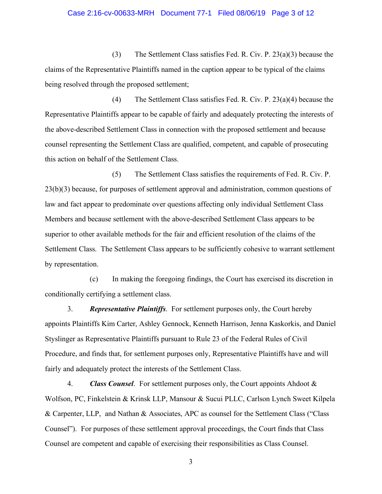#### Case 2:16-cv-00633-MRH Document 77-1 Filed 08/06/19 Page 3 of 12

(3) The Settlement Class satisfies Fed. R. Civ. P. 23(a)(3) because the claims of the Representative Plaintiffs named in the caption appear to be typical of the claims being resolved through the proposed settlement;

(4) The Settlement Class satisfies Fed. R. Civ. P. 23(a)(4) because the Representative Plaintiffs appear to be capable of fairly and adequately protecting the interests of the above-described Settlement Class in connection with the proposed settlement and because counsel representing the Settlement Class are qualified, competent, and capable of prosecuting this action on behalf of the Settlement Class.

(5) The Settlement Class satisfies the requirements of Fed. R. Civ. P. 23(b)(3) because, for purposes of settlement approval and administration, common questions of law and fact appear to predominate over questions affecting only individual Settlement Class Members and because settlement with the above-described Settlement Class appears to be superior to other available methods for the fair and efficient resolution of the claims of the Settlement Class. The Settlement Class appears to be sufficiently cohesive to warrant settlement by representation.

(c) In making the foregoing findings, the Court has exercised its discretion in conditionally certifying a settlement class.

3. *Representative Plaintiffs*. For settlement purposes only, the Court hereby appoints Plaintiffs Kim Carter, Ashley Gennock, Kenneth Harrison, Jenna Kaskorkis, and Daniel Styslinger as Representative Plaintiffs pursuant to Rule 23 of the Federal Rules of Civil Procedure, and finds that, for settlement purposes only, Representative Plaintiffs have and will fairly and adequately protect the interests of the Settlement Class.

4. *Class Counsel*. For settlement purposes only, the Court appoints Ahdoot & Wolfson, PC, Finkelstein & Krinsk LLP, Mansour & Sucui PLLC, Carlson Lynch Sweet Kilpela & Carpenter, LLP, and Nathan & Associates, APC as counsel for the Settlement Class ("Class Counsel"). For purposes of these settlement approval proceedings, the Court finds that Class Counsel are competent and capable of exercising their responsibilities as Class Counsel.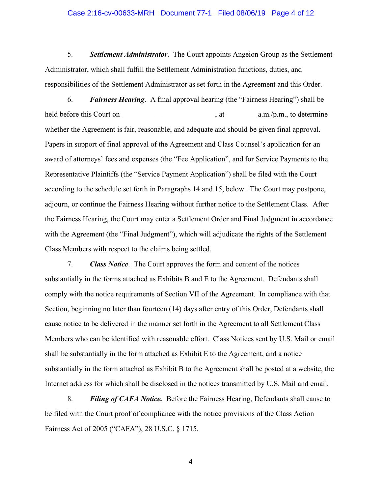#### Case 2:16-cv-00633-MRH Document 77-1 Filed 08/06/19 Page 4 of 12

5. *Settlement Administrator*. The Court appoints Angeion Group as the Settlement Administrator, which shall fulfill the Settlement Administration functions, duties, and responsibilities of the Settlement Administrator as set forth in the Agreement and this Order.

6. *Fairness Hearing*. A final approval hearing (the "Fairness Hearing") shall be held before this Court on \_\_\_\_\_\_\_\_\_\_\_\_\_\_\_\_\_\_\_\_\_\_\_\_\_, at \_\_\_\_\_\_\_\_ a.m./p.m., to determine whether the Agreement is fair, reasonable, and adequate and should be given final approval. Papers in support of final approval of the Agreement and Class Counsel's application for an award of attorneys' fees and expenses (the "Fee Application", and for Service Payments to the Representative Plaintiffs (the "Service Payment Application") shall be filed with the Court according to the schedule set forth in Paragraphs 14 and 15, below. The Court may postpone, adjourn, or continue the Fairness Hearing without further notice to the Settlement Class. After the Fairness Hearing, the Court may enter a Settlement Order and Final Judgment in accordance with the Agreement (the "Final Judgment"), which will adjudicate the rights of the Settlement Class Members with respect to the claims being settled.

7. *Class Notice*. The Court approves the form and content of the notices substantially in the forms attached as Exhibits B and E to the Agreement. Defendants shall comply with the notice requirements of Section VII of the Agreement. In compliance with that Section, beginning no later than fourteen (14) days after entry of this Order, Defendants shall cause notice to be delivered in the manner set forth in the Agreement to all Settlement Class Members who can be identified with reasonable effort. Class Notices sent by U.S. Mail or email shall be substantially in the form attached as Exhibit E to the Agreement, and a notice substantially in the form attached as Exhibit B to the Agreement shall be posted at a website, the Internet address for which shall be disclosed in the notices transmitted by U.S. Mail and email.

8. *Filing of CAFA Notice.* Before the Fairness Hearing, Defendants shall cause to be filed with the Court proof of compliance with the notice provisions of the Class Action Fairness Act of 2005 ("CAFA"), 28 U.S.C. § 1715.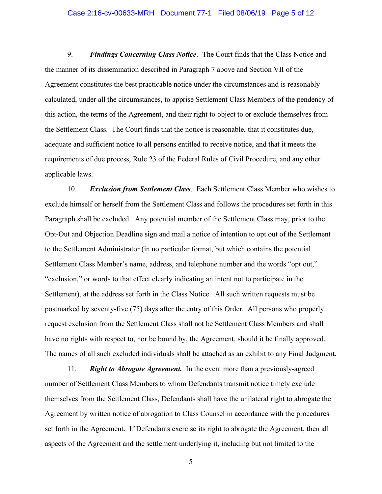#### Case 2:16-cv-00633-MRH Document 77-1 Filed 08/06/19 Page 5 of 12

9. *Findings Concerning Class Notice*. The Court finds that the Class Notice and the manner of its dissemination described in Paragraph 7 above and Section VII of the Agreement constitutes the best practicable notice under the circumstances and is reasonably calculated, under all the circumstances, to apprise Settlement Class Members of the pendency of this action, the terms of the Agreement, and their right to object to or exclude themselves from the Settlement Class. The Court finds that the notice is reasonable, that it constitutes due, adequate and sufficient notice to all persons entitled to receive notice, and that it meets the requirements of due process, Rule 23 of the Federal Rules of Civil Procedure, and any other applicable laws.

10. *Exclusion from Settlement Class*. Each Settlement Class Member who wishes to exclude himself or herself from the Settlement Class and follows the procedures set forth in this Paragraph shall be excluded. Any potential member of the Settlement Class may, prior to the Opt-Out and Objection Deadline sign and mail a notice of intention to opt out of the Settlement to the Settlement Administrator (in no particular format, but which contains the potential Settlement Class Member's name, address, and telephone number and the words "opt out," "exclusion," or words to that effect clearly indicating an intent not to participate in the Settlement), at the address set forth in the Class Notice. All such written requests must be postmarked by seventy-five (75) days after the entry of this Order. All persons who properly request exclusion from the Settlement Class shall not be Settlement Class Members and shall have no rights with respect to, nor be bound by, the Agreement, should it be finally approved. The names of all such excluded individuals shall be attached as an exhibit to any Final Judgment.

11. *Right to Abrogate Agreement.* In the event more than a previously-agreed number of Settlement Class Members to whom Defendants transmit notice timely exclude themselves from the Settlement Class, Defendants shall have the unilateral right to abrogate the Agreement by written notice of abrogation to Class Counsel in accordance with the procedures set forth in the Agreement. If Defendants exercise its right to abrogate the Agreement, then all aspects of the Agreement and the settlement underlying it, including but not limited to the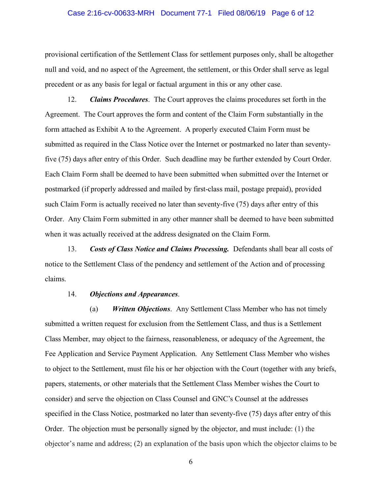#### Case 2:16-cv-00633-MRH Document 77-1 Filed 08/06/19 Page 6 of 12

provisional certification of the Settlement Class for settlement purposes only, shall be altogether null and void, and no aspect of the Agreement, the settlement, or this Order shall serve as legal precedent or as any basis for legal or factual argument in this or any other case.

12. *Claims Procedures*. The Court approves the claims procedures set forth in the Agreement. The Court approves the form and content of the Claim Form substantially in the form attached as Exhibit A to the Agreement. A properly executed Claim Form must be submitted as required in the Class Notice over the Internet or postmarked no later than seventyfive (75) days after entry of this Order. Such deadline may be further extended by Court Order. Each Claim Form shall be deemed to have been submitted when submitted over the Internet or postmarked (if properly addressed and mailed by first-class mail, postage prepaid), provided such Claim Form is actually received no later than seventy-five (75) days after entry of this Order. Any Claim Form submitted in any other manner shall be deemed to have been submitted when it was actually received at the address designated on the Claim Form.

13. *Costs of Class Notice and Claims Processing.* Defendants shall bear all costs of notice to the Settlement Class of the pendency and settlement of the Action and of processing claims.

#### 14. *Objections and Appearances*.

(a) *Written Objections*. Any Settlement Class Member who has not timely submitted a written request for exclusion from the Settlement Class, and thus is a Settlement Class Member, may object to the fairness, reasonableness, or adequacy of the Agreement, the Fee Application and Service Payment Application. Any Settlement Class Member who wishes to object to the Settlement, must file his or her objection with the Court (together with any briefs, papers, statements, or other materials that the Settlement Class Member wishes the Court to consider) and serve the objection on Class Counsel and GNC's Counsel at the addresses specified in the Class Notice, postmarked no later than seventy-five (75) days after entry of this Order. The objection must be personally signed by the objector, and must include: (1) the objector's name and address; (2) an explanation of the basis upon which the objector claims to be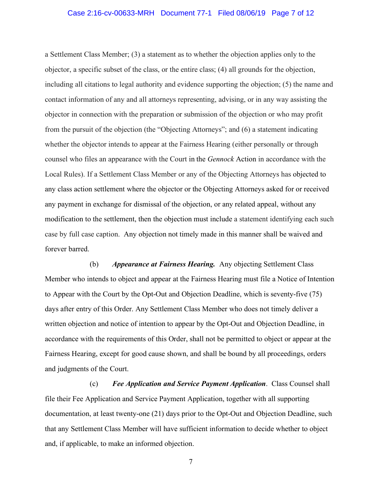#### Case 2:16-cv-00633-MRH Document 77-1 Filed 08/06/19 Page 7 of 12

a Settlement Class Member; (3) a statement as to whether the objection applies only to the objector, a specific subset of the class, or the entire class; (4) all grounds for the objection, including all citations to legal authority and evidence supporting the objection; (5) the name and contact information of any and all attorneys representing, advising, or in any way assisting the objector in connection with the preparation or submission of the objection or who may profit from the pursuit of the objection (the "Objecting Attorneys"; and (6) a statement indicating whether the objector intends to appear at the Fairness Hearing (either personally or through counsel who files an appearance with the Court in the *Gennock* Action in accordance with the Local Rules). If a Settlement Class Member or any of the Objecting Attorneys has objected to any class action settlement where the objector or the Objecting Attorneys asked for or received any payment in exchange for dismissal of the objection, or any related appeal, without any modification to the settlement, then the objection must include a statement identifying each such case by full case caption. Any objection not timely made in this manner shall be waived and forever barred.

(b) *Appearance at Fairness Hearing.* Any objecting Settlement Class Member who intends to object and appear at the Fairness Hearing must file a Notice of Intention to Appear with the Court by the Opt-Out and Objection Deadline, which is seventy-five (75) days after entry of this Order. Any Settlement Class Member who does not timely deliver a written objection and notice of intention to appear by the Opt-Out and Objection Deadline, in accordance with the requirements of this Order, shall not be permitted to object or appear at the Fairness Hearing, except for good cause shown, and shall be bound by all proceedings, orders and judgments of the Court.

(c) *Fee Application and Service Payment Application*. Class Counsel shall file their Fee Application and Service Payment Application, together with all supporting documentation, at least twenty-one (21) days prior to the Opt-Out and Objection Deadline, such that any Settlement Class Member will have sufficient information to decide whether to object and, if applicable, to make an informed objection.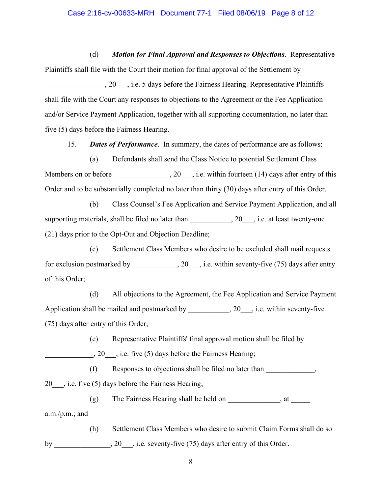#### Case 2:16-cv-00633-MRH Document 77-1 Filed 08/06/19 Page 8 of 12

(d) *Motion for Final Approval and Responses to Objections*. Representative Plaintiffs shall file with the Court their motion for final approval of the Settlement by

20 \_\_\_\_, i.e. 5 days before the Fairness Hearing. Representative Plaintiffs shall file with the Court any responses to objections to the Agreement or the Fee Application and/or Service Payment Application, together with all supporting documentation, no later than five (5) days before the Fairness Hearing.

15. *Dates of Performance*. In summary, the dates of performance are as follows:

(a) Defendants shall send the Class Notice to potential Settlement Class Members on or before \_\_\_\_\_\_\_\_\_\_\_\_, 20\_\_\_, i.e. within fourteen (14) days after entry of this Order and to be substantially completed no later than thirty (30) days after entry of this Order.

(b) Class Counsel's Fee Application and Service Payment Application, and all supporting materials, shall be filed no later than \_\_\_\_\_\_\_\_\_, 20\_\_, i.e. at least twenty-one (21) days prior to the Opt-Out and Objection Deadline;

(c) Settlement Class Members who desire to be excluded shall mail requests for exclusion postmarked by \_\_\_\_\_\_\_\_\_\_\_, 20\_\_\_, i.e. within seventy-five (75) days after entry of this Order;

(d) All objections to the Agreement, the Fee Application and Service Payment Application shall be mailed and postmarked by \_\_\_\_\_\_\_\_\_, 20\_\_\_, i.e. within seventy-five (75) days after entry of this Order;

(e) Representative Plaintiffs' final approval motion shall be filed by

\_\_\_\_\_\_\_\_\_\_\_\_\_, 20\_\_\_, i.e. five (5) days before the Fairness Hearing;

(f) Responses to objections shall be filed no later than  $\blacksquare$ ,

20\_\_\_, i.e. five (5) days before the Fairness Hearing;

(g) The Fairness Hearing shall be held on  $\_\_\_\_\_\_\_\_\_\_\_\_$ , at  $\_\_\_\_\_\_\_\_\_\_$ a.m./p.m.; and

(h) Settlement Class Members who desire to submit Claim Forms shall do so by \_\_\_\_\_\_\_\_\_\_\_\_, 20\_\_, i.e. seventy-five (75) days after entry of this Order.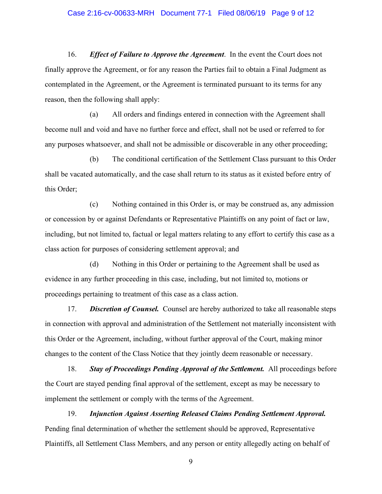#### Case 2:16-cv-00633-MRH Document 77-1 Filed 08/06/19 Page 9 of 12

16. *Effect of Failure to Approve the Agreement*. In the event the Court does not finally approve the Agreement, or for any reason the Parties fail to obtain a Final Judgment as contemplated in the Agreement, or the Agreement is terminated pursuant to its terms for any reason, then the following shall apply:

(a) All orders and findings entered in connection with the Agreement shall become null and void and have no further force and effect, shall not be used or referred to for any purposes whatsoever, and shall not be admissible or discoverable in any other proceeding;

(b) The conditional certification of the Settlement Class pursuant to this Order shall be vacated automatically, and the case shall return to its status as it existed before entry of this Order;

(c) Nothing contained in this Order is, or may be construed as, any admission or concession by or against Defendants or Representative Plaintiffs on any point of fact or law, including, but not limited to, factual or legal matters relating to any effort to certify this case as a class action for purposes of considering settlement approval; and

(d) Nothing in this Order or pertaining to the Agreement shall be used as evidence in any further proceeding in this case, including, but not limited to, motions or proceedings pertaining to treatment of this case as a class action.

17. *Discretion of Counsel.* Counsel are hereby authorized to take all reasonable steps in connection with approval and administration of the Settlement not materially inconsistent with this Order or the Agreement, including, without further approval of the Court, making minor changes to the content of the Class Notice that they jointly deem reasonable or necessary.

18. *Stay of Proceedings Pending Approval of the Settlement.* All proceedings before the Court are stayed pending final approval of the settlement, except as may be necessary to implement the settlement or comply with the terms of the Agreement.

19. *Injunction Against Asserting Released Claims Pending Settlement Approval.*  Pending final determination of whether the settlement should be approved, Representative Plaintiffs, all Settlement Class Members, and any person or entity allegedly acting on behalf of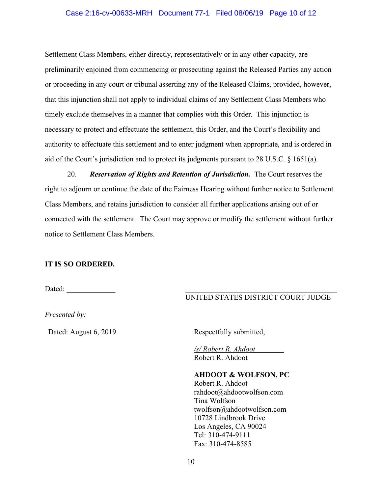### Case 2:16-cv-00633-MRH Document 77-1 Filed 08/06/19 Page 10 of 12

Settlement Class Members, either directly, representatively or in any other capacity, are preliminarily enjoined from commencing or prosecuting against the Released Parties any action or proceeding in any court or tribunal asserting any of the Released Claims, provided, however, that this injunction shall not apply to individual claims of any Settlement Class Members who timely exclude themselves in a manner that complies with this Order. This injunction is necessary to protect and effectuate the settlement, this Order, and the Court's flexibility and authority to effectuate this settlement and to enter judgment when appropriate, and is ordered in aid of the Court's jurisdiction and to protect its judgments pursuant to 28 U.S.C. § 1651(a).

20. *Reservation of Rights and Retention of Jurisdiction.* The Court reserves the right to adjourn or continue the date of the Fairness Hearing without further notice to Settlement Class Members, and retains jurisdiction to consider all further applications arising out of or connected with the settlement. The Court may approve or modify the settlement without further notice to Settlement Class Members.

# **IT IS SO ORDERED.**

Dated: \_\_\_\_\_\_\_\_\_\_\_\_\_

# UNITED STATES DISTRICT COURT JUDGE

*Presented by:*

Dated: August 6, 2019 Respectfully submitted,

*/s/ Robert R. Ahdoot* Robert R. Ahdoot

### **AHDOOT & WOLFSON, PC**

Robert R. Ahdoot rahdoot@ahdootwolfson.com Tina Wolfson twolfson@ahdootwolfson.com 10728 Lindbrook Drive Los Angeles, CA 90024 Tel: 310-474-9111 Fax: 310-474-8585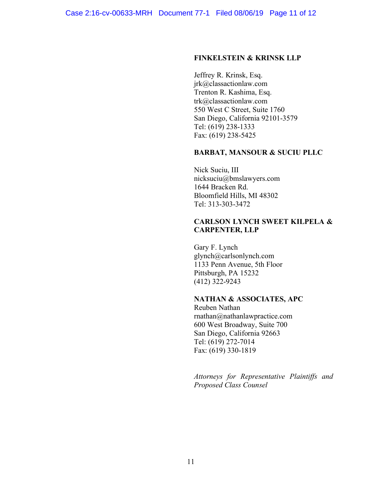#### **FINKELSTEIN & KRINSK LLP**

Jeffrey R. Krinsk, Esq. jrk@classactionlaw.com Trenton R. Kashima, Esq. trk@classactionlaw.com 550 West C Street, Suite 1760 San Diego, California 92101-3579 Tel: (619) 238-1333 Fax: (619) 238-5425

### **BARBAT, MANSOUR & SUCIU PLLC**

Nick Suciu, III nicksuciu@bmslawyers.com 1644 Bracken Rd. Bloomfield Hills, MI 48302 Tel: 313-303-3472

## **CARLSON LYNCH SWEET KILPELA & CARPENTER, LLP**

Gary F. Lynch glynch@carlsonlynch.com 1133 Penn Avenue, 5th Floor Pittsburgh, PA 15232 (412) 322-9243

## **NATHAN & ASSOCIATES, APC**

Reuben Nathan rnathan@nathanlawpractice.com 600 West Broadway, Suite 700 San Diego, California 92663 Tel: (619) 272-7014 Fax: (619) 330-1819

*Attorneys for Representative Plaintiffs and Proposed Class Counsel*